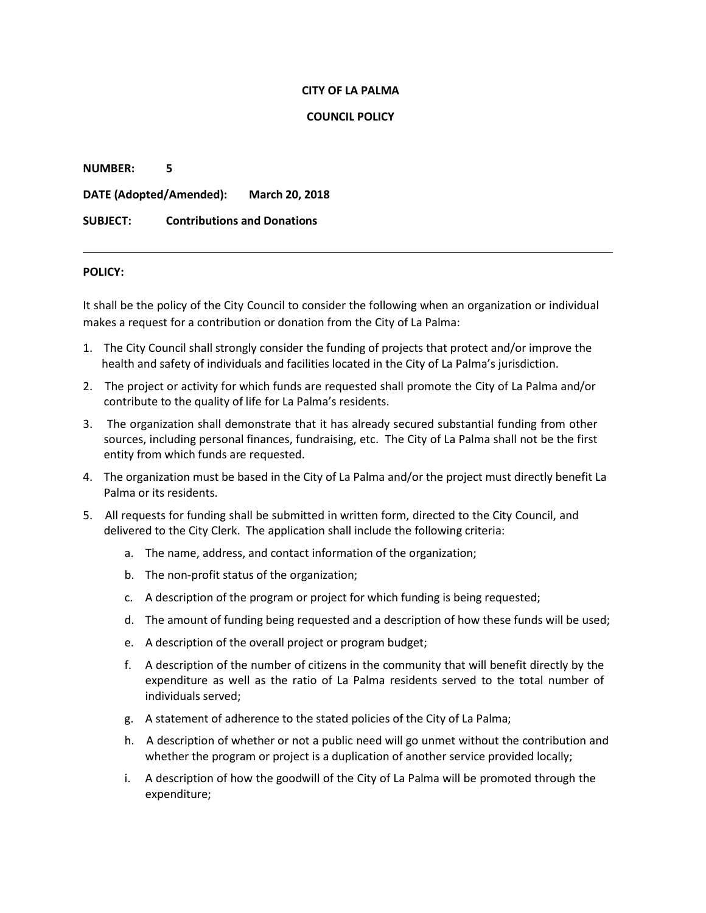#### **CITY OF LA PALMA**

## **COUNCIL POLICY**

**NUMBER: 5 DATE (Adopted/Amended): March 20, 2018 SUBJECT: Contributions and Donations**

## **POLICY:**

It shall be the policy of the City Council to consider the following when an organization or individual makes a request for a contribution or donation from the City of La Palma:

- 1. The City Council shall strongly consider the funding of projects that protect and/or improve the health and safety of individuals and facilities located in the City of La Palma's jurisdiction.
- 2. The project or activity for which funds are requested shall promote the City of La Palma and/or contribute to the quality of life for La Palma's residents.
- 3. The organization shall demonstrate that it has already secured substantial funding from other sources, including personal finances, fundraising, etc. The City of La Palma shall not be the first entity from which funds are requested.
- 4. The organization must be based in the City of La Palma and/or the project must directly benefit La Palma or its residents.
- 5. All requests for funding shall be submitted in written form, directed to the City Council, and delivered to the City Clerk. The application shall include the following criteria:
	- a. The name, address, and contact information of the organization;
	- b. The non-profit status of the organization;
	- c. A description of the program or project for which funding is being requested;
	- d. The amount of funding being requested and a description of how these funds will be used;
	- e. A description of the overall project or program budget;
	- f. A description of the number of citizens in the community that will benefit directly by the expenditure as well as the ratio of La Palma residents served to the total number of individuals served;
	- g. A statement of adherence to the stated policies of the City of La Palma;
	- h. A description of whether or not a public need will go unmet without the contribution and whether the program or project is a duplication of another service provided locally;
	- i. A description of how the goodwill of the City of La Palma will be promoted through the expenditure;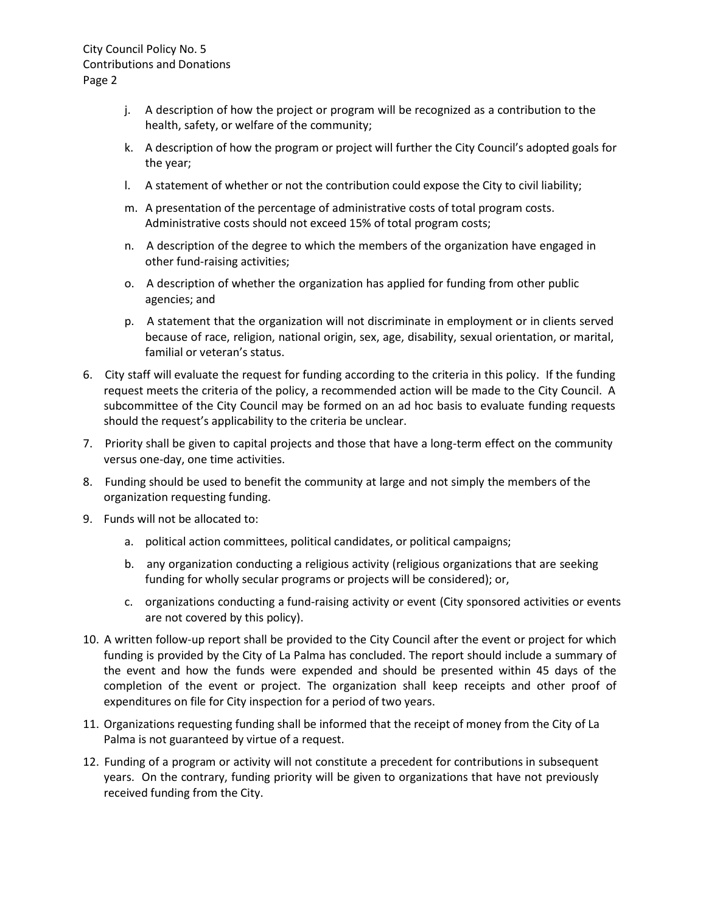- j. A description of how the project or program will be recognized as a contribution to the health, safety, or welfare of the community;
- k. A description of how the program or project will further the City Council's adopted goals for the year;
- l. A statement of whether or not the contribution could expose the City to civil liability;
- m. A presentation of the percentage of administrative costs of total program costs. Administrative costs should not exceed 15% of total program costs;
- n. A description of the degree to which the members of the organization have engaged in other fund-raising activities;
- o. A description of whether the organization has applied for funding from other public agencies; and
- p. A statement that the organization will not discriminate in employment or in clients served because of race, religion, national origin, sex, age, disability, sexual orientation, or marital, familial or veteran's status.
- 6. City staff will evaluate the request for funding according to the criteria in this policy. If the funding request meets the criteria of the policy, a recommended action will be made to the City Council. A subcommittee of the City Council may be formed on an ad hoc basis to evaluate funding requests should the request's applicability to the criteria be unclear.
- 7. Priority shall be given to capital projects and those that have a long-term effect on the community versus one-day, one time activities.
- 8. Funding should be used to benefit the community at large and not simply the members of the organization requesting funding.
- 9. Funds will not be allocated to:
	- a. political action committees, political candidates, or political campaigns;
	- b. any organization conducting a religious activity (religious organizations that are seeking funding for wholly secular programs or projects will be considered); or,
	- c. organizations conducting a fund-raising activity or event (City sponsored activities or events are not covered by this policy).
- 10. A written follow-up report shall be provided to the City Council after the event or project for which funding is provided by the City of La Palma has concluded. The report should include a summary of the event and how the funds were expended and should be presented within 45 days of the completion of the event or project. The organization shall keep receipts and other proof of expenditures on file for City inspection for a period of two years.
- 11. Organizations requesting funding shall be informed that the receipt of money from the City of La Palma is not guaranteed by virtue of a request.
- 12. Funding of a program or activity will not constitute a precedent for contributions in subsequent years. On the contrary, funding priority will be given to organizations that have not previously received funding from the City.